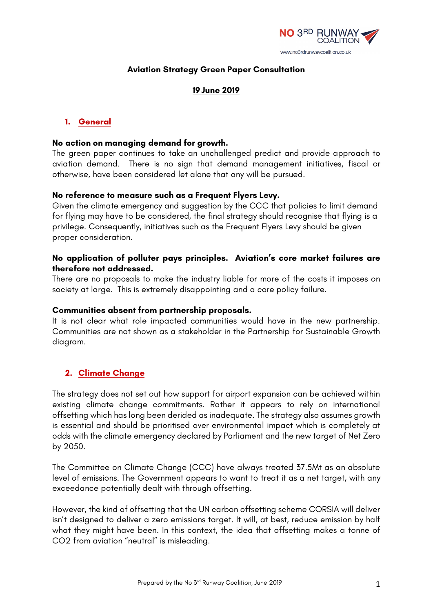

### **Aviation Strategy Green Paper Consultation**

### **19June 2019**

### **1. General**

#### **No action on managing demand for growth.**

The green paper continues to take an unchallenged predict and provide approach to aviation demand. There is no sign that demand management initiatives, fiscal or otherwise, have been considered let alone that any will be pursued.

#### **No reference to measure such as a Frequent Flyers Levy.**

Given the climate emergency and suggestion by the CCC that policies to limit demand for flying may have to be considered, the final strategy should recognise that flying is a privilege. Consequently, initiatives such as the Frequent Flyers Levy should be given proper consideration.

#### **No application of polluter pays principles. Aviation's core market failures are therefore not addressed.**

There are no proposals to make the industry liable for more of the costs it imposes on society at large. This is extremely disappointing and a core policy failure.

#### **Communities absent from partnership proposals.**

It is not clear what role impacted communities would have in the new partnership. Communities are not shown as a stakeholder in the Partnership for Sustainable Growth diagram.

#### **2. Climate Change**

The strategy does not set out how support for airport expansion can be achieved within existing climate change commitments. Rather it appears to rely on international offsetting which has long been derided as inadequate. The strategy also assumes growth is essential and should be prioritised over environmental impact which is completely at odds with the climate emergency declared by Parliament and the new target of Net Zero by 2050.

The Committee on Climate Change (CCC) have always treated 37.5Mt as an absolute level of emissions. The Government appears to want to treat it as a net target, with any exceedance potentially dealt with through offsetting.

However, the kind of offsetting that the UN carbon offsetting scheme CORSIA will deliver isn't designed to deliver a zero emissions target. It will, at best, reduce emission by half what they might have been. In this context, the idea that offsetting makes a tonne of CO2 from aviation "neutral" is misleading.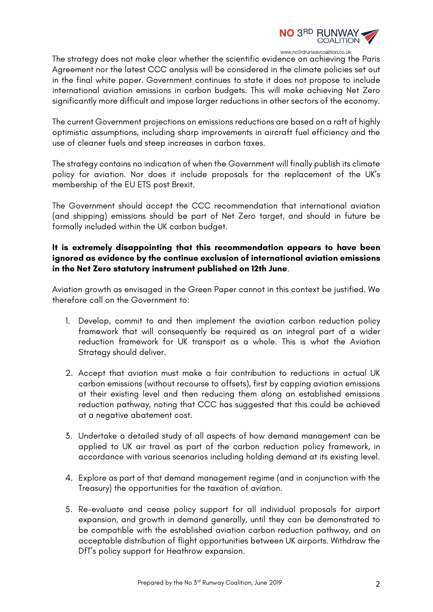

The strategy does not make clear whether the scientific evidence on achieving the Paris Agreement nor the latest CCC analysis will be considered in the climate policies set out in the final white paper. Government continues to state it does not propose to include international aviation emissions in carbon budgets. This will make achieving Net Zero significantly more difficult and impose larger reductions in other sectors of the economy.

The current Government projections on emissions reductions are based on a raft of highly optimistic assumptions, including sharp improvements in aircraft fuel efficiency and the use of cleaner fuels and steep increases in carbon taxes.

The strategy contains no indication of when the Government will finally publish its climate policy for aviation. Nor does it include proposals for the replacement of the UK's membership of the EU ETS post Brexit.

The Government should accept the CCC recommendation that international aviation (and shipping) emissions should be part of Net Zero target, and should in future be formally included within the UK carbon budget.

### **It is extremely disappointing that this recommendation appears to have been ignored as evidence by the continue exclusion of international aviation emissions in the Net Zero statutory instrument published on 12th June**.

Aviation growth as envisaged in the Green Paper cannot in this context be justified. We therefore call on the Government to:

- 1. Develop, commit to and then implement the aviation carbon reduction policy framework that will consequently be required as an integral part of a wider reduction framework for UK transport as a whole. This is what the Aviation Strategy should deliver.
- 2. Accept that aviation must make a fair contribution to reductions in actual UK carbon emissions (without recourse to offsets), first by capping aviation emissions at their existing level and then reducing them along an established emissions reduction pathway, noting that CCC has suggested that this could be achieved at a negative abatement cost.
- 3. Undertake a detailed study of all aspects of how demand management can be applied to UK air travel as part of the carbon reduction policy framework, in accordance with various scenarios including holding demand at its existing level.
- 4. Explore as part of that demand management regime (and in conjunction with the Treasury) the opportunities for the taxation of aviation.
- 5. Re-evaluate and cease policy support for all individual proposals for airport expansion, and growth in demand generally, until they can be demonstrated to be compatible with the established aviation carbon reduction pathway, and an acceptable distribution of flight opportunities between UK airports. Withdraw the DfT's policy support for Heathrow expansion.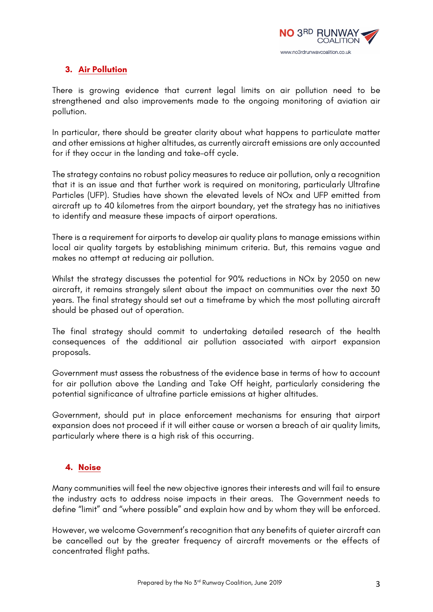

# **3. Air Pollution**

There is growing evidence that current legal limits on air pollution need to be strengthened and also improvements made to the ongoing monitoring of aviation air pollution.

In particular, there should be greater clarity about what happens to particulate matter and other emissions at higher altitudes, as currently aircraft emissions are only accounted for if they occur in the landing and take-off cycle.

The strategy contains no robust policy measures to reduce air pollution, only a recognition that it is an issue and that further work is required on monitoring, particularly Ultrafine Particles (UFP). Studies have shown the elevated levels of NOx and UFP emitted from aircraft up to 40 kilometres from the airport boundary, yet the strategy has no initiatives to identify and measure these impacts of airport operations.

There is a requirement for airports to develop air quality plans to manage emissions within local air quality targets by establishing minimum criteria. But, this remains vague and makes no attempt at reducing air pollution.

Whilst the strategy discusses the potential for 90% reductions in NOx by 2050 on new aircraft, it remains strangely silent about the impact on communities over the next 30 years. The final strategy should set out a timeframe by which the most polluting aircraft should be phased out of operation.

The final strategy should commit to undertaking detailed research of the health consequences of the additional air pollution associated with airport expansion proposals.

Government must assess the robustness of the evidence base in terms of how to account for air pollution above the Landing and Take Off height, particularly considering the potential significance of ultrafine particle emissions at higher altitudes.

Government, should put in place enforcement mechanisms for ensuring that airport expansion does not proceed if it will either cause or worsen a breach of air quality limits, particularly where there is a high risk of this occurring.

### **4. Noise**

Many communities will feel the new objective ignores their interests and will fail to ensure the industry acts to address noise impacts in their areas. The Government needs to define "limit" and "where possible" and explain how and by whom they will be enforced.

However, we welcome Government's recognition that any benefits of quieter aircraft can be cancelled out by the greater frequency of aircraft movements or the effects of concentrated flight paths.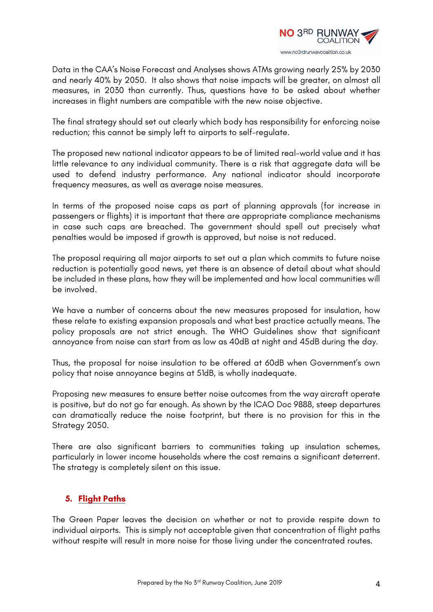

Data in the CAA's Noise Forecast and Analyses shows ATMs growing nearly 25% by 2030 and nearly 40% by 2050. It also shows that noise impacts will be greater, on almost all measures, in 2030 than currently. Thus, questions have to be asked about whether increases in flight numbers are compatible with the new noise objective.

The final strategy should set out clearly which body has responsibility for enforcing noise reduction; this cannot be simply left to airports to self-regulate.

The proposed new national indicator appears to be of limited real-world value and it has little relevance to any individual community. There is a risk that aggregate data will be used to defend industry performance. Any national indicator should incorporate frequency measures, as well as average noise measures.

In terms of the proposed noise caps as part of planning approvals (for increase in passengers or flights) it is important that there are appropriate compliance mechanisms in case such caps are breached. The government should spell out precisely what penalties would be imposed if growth is approved, but noise is not reduced.

The proposal requiring all major airports to set out a plan which commits to future noise reduction is potentially good news, yet there is an absence of detail about what should be included in these plans, how they will be implemented and how local communities will be involved.

We have a number of concerns about the new measures proposed for insulation, how these relate to existing expansion proposals and what best practice actually means. The policy proposals are not strict enough. The WHO Guidelines show that significant annoyance from noise can start from as low as 40dB at night and 45dB during the day.

Thus, the proposal for noise insulation to be offered at 60dB when Government's own policy that noise annoyance begins at 51dB, is wholly inadequate.

Proposing new measures to ensure better noise outcomes from the way aircraft operate is positive, but do not go far enough. As shown by the ICAO Doc 9888, steep departures can dramatically reduce the noise footprint, but there is no provision for this in the Strategy 2050.

There are also significant barriers to communities taking up insulation schemes, particularly in lower income households where the cost remains a significant deterrent. The strategy is completely silent on this issue.

# **5. Flight Paths**

The Green Paper leaves the decision on whether or not to provide respite down to individual airports. This is simply not acceptable given that concentration of flight paths without respite will result in more noise for those living under the concentrated routes.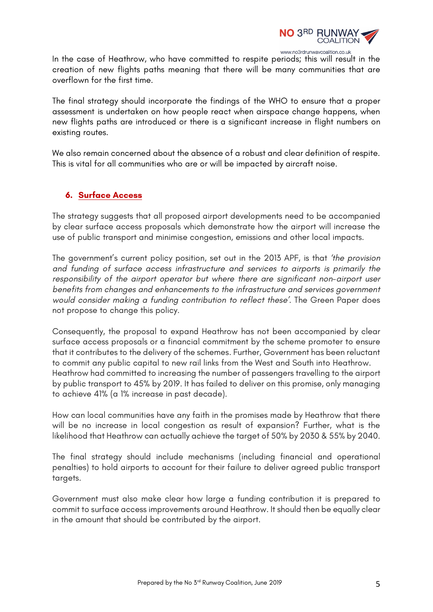

In the case of Heathrow, who have committed to respite periods; this will result in the creation of new flights paths meaning that there will be many communities that are overflown for the first time.

The final strategy should incorporate the findings of the WHO to ensure that a proper assessment is undertaken on how people react when airspace change happens, when new flights paths are introduced or there is a significant increase in flight numbers on existing routes.

We also remain concerned about the absence of a robust and clear definition of respite. This is vital for all communities who are or will be impacted by aircraft noise.

### **6. Surface Access**

The strategy suggests that all proposed airport developments need to be accompanied by clear surface access proposals which demonstrate how the airport will increase the use of public transport and minimise congestion, emissions and other local impacts.

The government's current policy position, set out in the 2013 APF, is that *'the provision and funding of surface access infrastructure and services to airports is primarily the responsibility of the airport operator but where there are significant non-airport user benefits from changes and enhancements to the infrastructure and services government would consider making a funding contribution to reflect these'*. The Green Paper does not propose to change this policy.

Consequently, the proposal to expand Heathrow has not been accompanied by clear surface access proposals or a financial commitment by the scheme promoter to ensure that it contributes to the delivery of the schemes. Further, Government has been reluctant to commit any public capital to new rail links from the West and South into Heathrow. Heathrow had committed to increasing the number of passengers travelling to the airport by public transport to 45% by 2019. It has failed to deliver on this promise, only managing to achieve 41% (a 1% increase in past decade).

How can local communities have any faith in the promises made by Heathrow that there will be no increase in local congestion as result of expansion? Further, what is the likelihood that Heathrow can actually achieve the target of 50% by 2030 & 55% by 2040.

The final strategy should include mechanisms (including financial and operational penalties) to hold airports to account for their failure to deliver agreed public transport targets.

Government must also make clear how large a funding contribution it is prepared to commit to surface access improvements around Heathrow. It should then be equally clear in the amount that should be contributed by the airport.